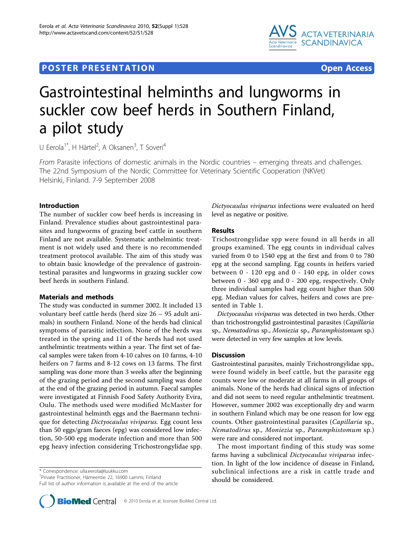# **POSTER PRESENTATION CONSUMING THE SERVICE SERVICE SERVICES**



# Gastrointestinal helminths and lungworms in suckler cow beef herds in Southern Finland, a pilot study

U Eerola<sup>1\*</sup>, H Härtel<sup>2</sup>, A Oksanen<sup>3</sup>, T Soveri<sup>4</sup>

From Parasite infections of domestic animals in the Nordic countries – emerging threats and challenges. The 22nd Symposium of the Nordic Committee for Veterinary Scientific Cooperation (NKVet) Helsinki, Finland. 7-9 September 2008

## Introduction

The number of suckler cow beef herds is increasing in Finland. Prevalence studies about gastrointestinal parasites and lungworms of grazing beef cattle in southern Finland are not available. Systematic anthelmintic treatment is not widely used and there is no recommended treatment protocol available. The aim of this study was to obtain basic knowledge of the prevalence of gastrointestinal parasites and lungworms in grazing suckler cow beef herds in southern Finland.

### Materials and methods

The study was conducted in summer 2002. It included 13 voluntary beef cattle herds (herd size 26 – 95 adult animals) in southern Finland. None of the herds had clinical symptoms of parasitic infection. None of the herds was treated in the spring and 11 of the herds had not used anthelmintic treatments within a year. The first set of faecal samples were taken from 4-10 calves on 10 farms, 4-10 heifers on 7 farms and 8-12 cows on 13 farms. The first sampling was done more than 3 weeks after the beginning of the grazing period and the second sampling was done at the end of the grazing period in autumn. Faecal samples were investigated at Finnish Food Safety Authority Evira, Oulu. The methods used were modified McMaster for gastrointestinal helminth eggs and the Baermann technique for detecting *Dictyocaulus viviparus*. Egg count less than 50 eggs/gram faeces (epg) was considered low infection, 50-500 epg moderate infection and more than 500 epg heavy infection considering Trichostrongylidae spp.

\* Correspondence: [ulla.eerola@luukku.com](mailto:ulla.eerola@luukku.com)

1 Private Practitioner, Hämeentie 22, 16900 Lammi, Finland

Full list of author information is available at the end of the article

Dictyocaulus viviparus infections were evaluated on herd level as negative or positive.

### Results

Trichostrongylidae spp were found in all herds in all groups examined. The egg counts in individual calves varied from 0 to 1540 epg at the first and from 0 to 780 epg at the second sampling. Egg counts in heifers varied between 0 - 120 epg and 0 - 140 epg, in older cows between 0 - 360 epg and 0 - 200 epg, respectively. Only three individual samples had egg count higher than 500 epg. Median values for calves, heifers and cows are presented in Table [1](#page-1-0).

Dictyocaulus viviparus was detected in two herds. Other than trichostrongylid gastrointestinal parasites (Capillaria sp., Nematodirus sp., Moniezia sp., Paramphistomum sp.) were detected in very few samples at low levels.

#### Discussion

Gastrointestinal parasites, mainly Trichostrongylidae spp., were found widely in beef cattle, but the parasite egg counts were low or moderate at all farms in all groups of animals. None of the herds had clinical signs of infection and did not seem to need regular anthelmintic treatment. However, summer 2002 was exceptionally dry and warm in southern Finland which may be one reason for low egg counts. Other gastrointestinal parasites (Capillaria sp., Nematodirus sp., Moniezia sp., Paramphistomum sp.) were rare and considered not important.

The most important finding of this study was some farms having a subclinical Dictyocaulus viviparus infection. In light of the low incidence of disease in Finland, subclinical infections are a risk in cattle trade and should be considered.